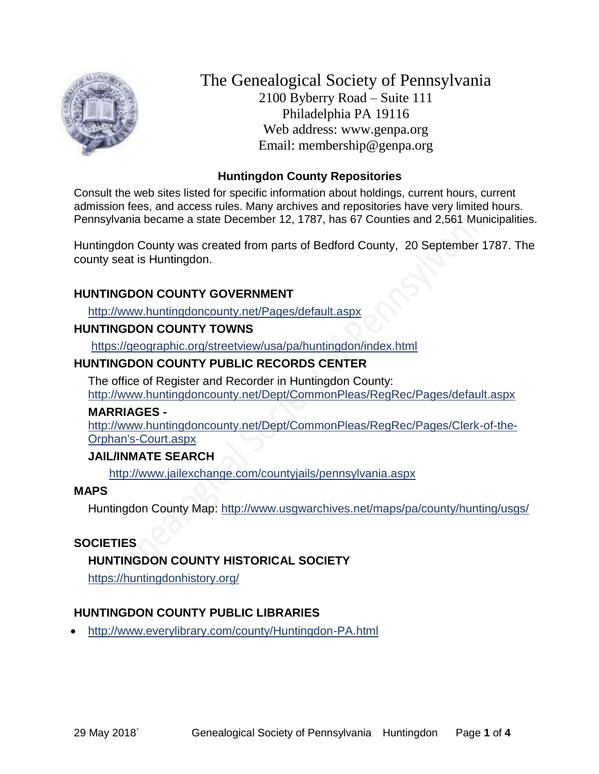

The Genealogical Society of Pennsylvania 2100 Byberry Road – Suite 111 Philadelphia PA 19116 Web address: www.genpa.org Email: membership@genpa.org

### **Huntingdon County Repositories**

Consult the web sites listed for specific information about holdings, current hours, current admission fees, and access rules. Many archives and repositories have very limited hours. Pennsylvania became a state December 12, 1787, has 67 Counties and 2,561 Municipalities.

Huntingdon County was created from parts of Bedford County, 20 September 1787. The county seat is Huntingdon.

# **HUNTINGDON COUNTY GOVERNMENT**

<http://www.huntingdoncounty.net/Pages/default.aspx>

#### **HUNTINGDON COUNTY TOWNS**

<https://geographic.org/streetview/usa/pa/huntingdon/index.html>

# **HUNTINGDON COUNTY PUBLIC RECORDS CENTER**

The office of Register and Recorder in Huntingdon County: <http://www.huntingdoncounty.net/Dept/CommonPleas/RegRec/Pages/default.aspx>

#### **MARRIAGES -**

[http://www.huntingdoncounty.net/Dept/CommonPleas/RegRec/Pages/Clerk-of-the-](http://www.huntingdoncounty.net/Dept/CommonPleas/RegRec/Pages/Clerk-of-the-Orphan)[Orphan's-Court.aspx](http://www.huntingdoncounty.net/Dept/CommonPleas/RegRec/Pages/Clerk-of-the-Orphan)

# **JAIL/INMATE SEARCH**

<http://www.jailexchange.com/countyjails/pennsylvania.aspx>

#### **MAPS**

Huntingdon County Map:<http://www.usgwarchives.net/maps/pa/county/hunting/usgs/>

# **SOCIETIES**

# **HUNTINGDON COUNTY HISTORICAL SOCIETY**

<https://huntingdonhistory.org/>

# **HUNTINGDON COUNTY PUBLIC LIBRARIES**

<http://www.everylibrary.com/county/Huntingdon-PA.html>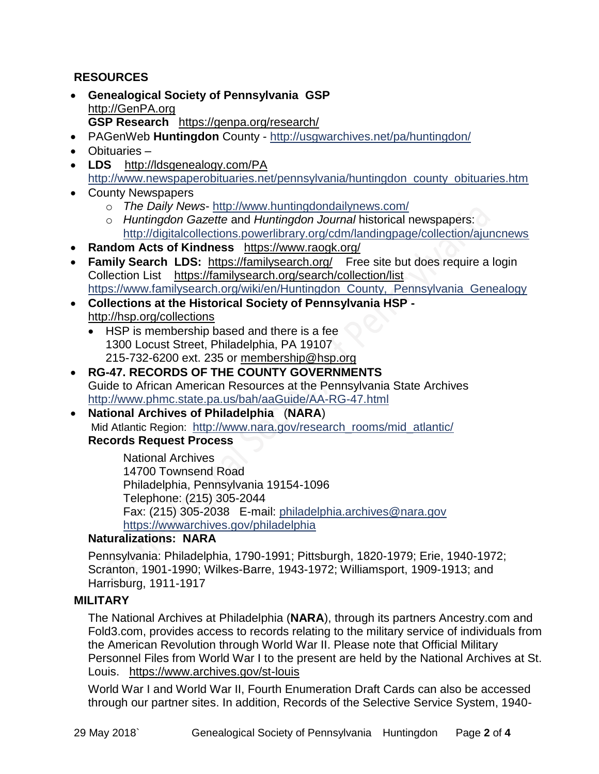# **RESOURCES**

- **Genealogical Society of Pennsylvania GSP** [http://GenPA.org](http://genpa.org/) **GSP Research** <https://genpa.org/research/>
- PAGenWeb **Huntingdon** County <http://usgwarchives.net/pa/huntingdon/>
- Obituaries –
- LDS <http://ldsgenealogy.com/PA> [http://www.newspaperobituaries.net/pennsylvania/huntingdon\\_county\\_obituaries.htm](http://www.newspaperobituaries.net/pennsylvania/huntingdon_county_obituaries.htm)
- County Newspapers
	- o *The Daily News* <http://www.huntingdondailynews.com/>
	- o *Huntingdon Gazette* and *Huntingdon Journal* historical newspapers: <http://digitalcollections.powerlibrary.org/cdm/landingpage/collection/ajuncnews>
- **Random Acts of Kindness** <https://www.raogk.org/>
- Family Search LDS: <https://familysearch.org/>Free site but does require a login Collection List <https://familysearch.org/search/collection/list> [https://www.familysearch.org/wiki/en/Huntingdon\\_County,\\_Pennsylvania\\_Genealogy](https://www.familysearch.org/wiki/en/Huntingdon_County,_Pennsylvania_Genealogy)
- **Collections at the Historical Society of Pennsylvania HSP**  <http://hsp.org/collections>
	- HSP is membership based and there is a fee 1300 Locust Street, Philadelphia, PA 19107 215-732-6200 ext. 235 or [membership@hsp.org](mailto:membership@hsp.org)
- **RG-47. RECORDS OF THE COUNTY GOVERNMENTS** Guide to African American Resources at the Pennsylvania State Archives <http://www.phmc.state.pa.us/bah/aaGuide/AA-RG-47.html>
- **National Archives of Philadelphia** (**NARA**) Mid Atlantic Region: [http://www.nara.gov/research\\_rooms/mid\\_atlantic/](http://www.nara.gov/research_rooms/mid_atlantic/) **Records Request Process**

National Archives 14700 Townsend Road Philadelphia, Pennsylvania 19154-1096 Telephone: (215) 305-2044 Fax: (215) 305-2038 E-mail: [philadelphia.archives@nara.gov](mailto:philadelphia.archives@nara.gov) <https://wwwarchives.gov/philadelphia>

# **Naturalizations: NARA**

Pennsylvania: Philadelphia, 1790-1991; Pittsburgh, 1820-1979; Erie, 1940-1972; Scranton, 1901-1990; Wilkes-Barre, 1943-1972; Williamsport, 1909-1913; and Harrisburg, 1911-1917

# **MILITARY**

The National Archives at Philadelphia (**NARA**), through its partners Ancestry.com and Fold3.com, provides access to records relating to the military service of individuals from the American Revolution through World War II. Please note that Official Military Personnel Files from World War I to the present are held by the National Archives at St. Louis. <https://www.archives.gov/st-louis>

World War I and World War II, Fourth Enumeration Draft Cards can also be accessed through our partner sites. In addition, Records of the Selective Service System, 1940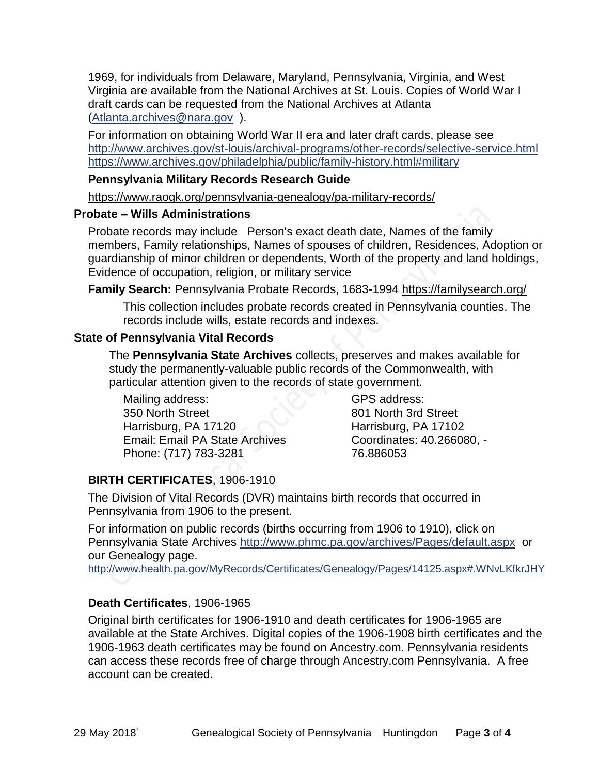1969, for individuals from Delaware, Maryland, Pennsylvania, Virginia, and West Virginia are available from the National Archives at St. Louis. Copies of World War I draft cards can be requested from the National Archives at Atlanta [\(Atlanta.archives@nara.gov](mailto:Atlanta.archives@nara.gov) ).

For information on obtaining World War II era and later draft cards, please see <http://www.archives.gov/st-louis/archival-programs/other-records/selective-service.html> <https://www.archives.gov/philadelphia/public/family-history.html#military>

#### **Pennsylvania Military Records Research Guide**

<https://www.raogk.org/pennsylvania-genealogy/pa-military-records/>

#### **Probate – Wills Administrations**

Probate records may include Person's exact death date, Names of the family members, Family relationships, Names of spouses of children, Residences, Adoption or guardianship of minor children or dependents, Worth of the property and land holdings, Evidence of occupation, religion, or military service

**Family Search:** Pennsylvania Probate Records, 1683-1994 <https://familysearch.org/>

This collection includes probate records created in Pennsylvania counties. The records include wills, estate records and indexes.

#### **State of Pennsylvania Vital Records**

The **Pennsylvania State Archives** collects, preserves and makes available for study the permanently-valuable public records of the Commonwealth, with particular attention given to the records of state government.

Mailing address: 350 North Street Harrisburg, PA 17120 Email: Email PA State Archives Phone: (717) 783-3281

GPS address: 801 North 3rd Street Harrisburg, PA 17102 Coordinates: 40.266080, - 76.886053

# **BIRTH CERTIFICATES**, 1906-1910

The Division of Vital Records (DVR) maintains birth records that occurred in Pennsylvania from 1906 to the present.

For information on public records (births occurring from 1906 to 1910), click on Pennsylvania State Archives <http://www.phmc.pa.gov/archives/Pages/default.aspx>or our Genealogy page.

<http://www.health.pa.gov/MyRecords/Certificates/Genealogy/Pages/14125.aspx#.WNvLKfkrJHY>

# **Death Certificates**, 1906-1965

Original birth certificates for 1906-1910 and death certificates for 1906-1965 are available at the State Archives. Digital copies of the 1906-1908 birth certificates and the 1906-1963 death certificates may be found on Ancestry.com. Pennsylvania residents can access these records free of charge through Ancestry.com Pennsylvania. A free account can be created.